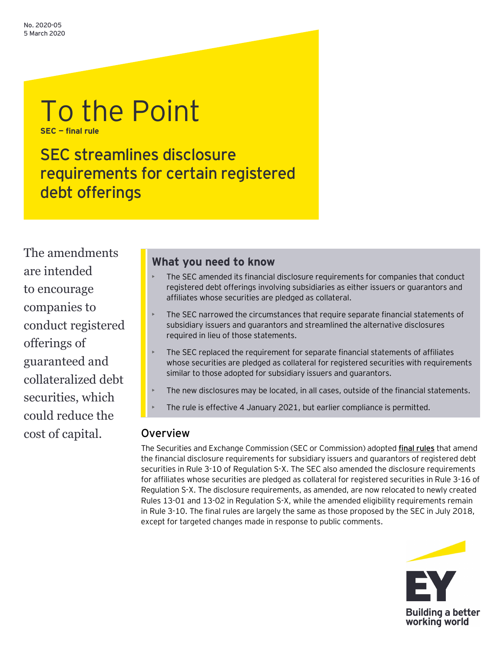# To the Point **SEC — final rule**

SEC streamlines disclosure requirements for certain registered debt offerings

The amendments are intended to encourage companies to conduct registered offerings of guaranteed and collateralized debt securities, which could reduce the cost of capital.

# **What you need to know**

- The SEC amended its financial disclosure requirements for companies that conduct registered debt offerings involving subsidiaries as either issuers or guarantors and affiliates whose securities are pledged as collateral.
- The SEC narrowed the circumstances that require separate financial statements of subsidiary issuers and guarantors and streamlined the alternative disclosures required in lieu of those statements.
- The SEC replaced the requirement for separate financial statements of affiliates whose securities are pledged as collateral for registered securities with requirements similar to those adopted for subsidiary issuers and guarantors.
- The new disclosures may be located, in all cases, outside of the financial statements.
- The rule is effective 4 January 2021, but earlier compliance is permitted.

# **Overview**

The Securities and Exchange Commission (SEC or Commission) adopted **[final rules](https://www.sec.gov/rules/final/2020/33-10762.pdf)** that amend the financial disclosure requirements for subsidiary issuers and guarantors of registered debt securities in Rule 3-10 of Regulation S-X. The SEC also amended the disclosure requirements for affiliates whose securities are pledged as collateral for registered securities in Rule 3-16 of Regulation S-X. The disclosure requirements, as amended, are now relocated to newly created Rules 13-01 and 13-02 in Regulation S-X, while the amended eligibility requirements remain in Rule 3-10. The final rules are largely the same as those proposed by the SEC in July 2018, except for targeted changes made in response to public comments.

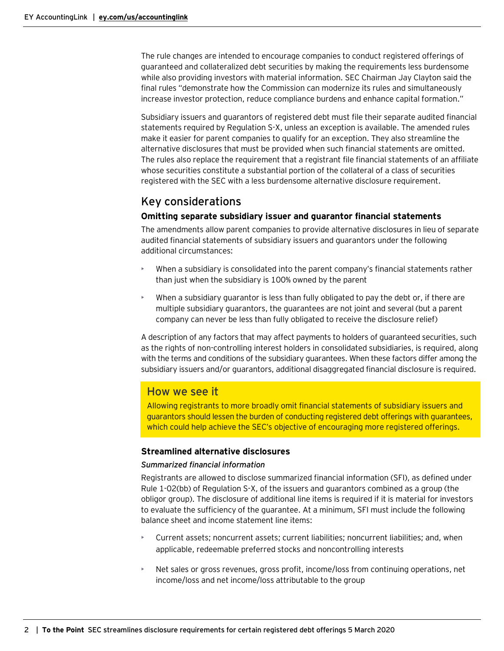The rule changes are intended to encourage companies to conduct registered offerings of guaranteed and collateralized debt securities by making the requirements less burdensome while also providing investors with material information. SEC Chairman Jay Clayton said the final rules "demonstrate how the Commission can modernize its rules and simultaneously increase investor protection, reduce compliance burdens and enhance capital formation."

Subsidiary issuers and guarantors of registered debt must file their separate audited financial statements required by Regulation S-X, unless an exception is available. The amended rules make it easier for parent companies to qualify for an exception. They also streamline the alternative disclosures that must be provided when such financial statements are omitted. The rules also replace the requirement that a registrant file financial statements of an affiliate whose securities constitute a substantial portion of the collateral of a class of securities registered with the SEC with a less burdensome alternative disclosure requirement.

# Key considerations

## **Omitting separate subsidiary issuer and guarantor financial statements**

The amendments allow parent companies to provide alternative disclosures in lieu of separate audited financial statements of subsidiary issuers and guarantors under the following additional circumstances:

- When a subsidiary is consolidated into the parent company's financial statements rather than just when the subsidiary is 100% owned by the parent
- When a subsidiary guarantor is less than fully obligated to pay the debt or, if there are multiple subsidiary guarantors, the guarantees are not joint and several (but a parent company can never be less than fully obligated to receive the disclosure relief)

A description of any factors that may affect payments to holders of guaranteed securities, such as the rights of non-controlling interest holders in consolidated subsidiaries, is required, along with the terms and conditions of the subsidiary guarantees. When these factors differ among the subsidiary issuers and/or guarantors, additional disaggregated financial disclosure is required.

## How we see it

Allowing registrants to more broadly omit financial statements of subsidiary issuers and guarantors should lessen the burden of conducting registered debt offerings with guarantees, which could help achieve the SEC's objective of encouraging more registered offerings.

## **Streamlined alternative disclosures**

## *Summarized financial information*

Registrants are allowed to disclose summarized financial information (SFI), as defined under Rule 1-02(bb) of Regulation S-X, of the issuers and guarantors combined as a group (the obligor group). The disclosure of additional line items is required if it is material for investors to evaluate the sufficiency of the guarantee. At a minimum, SFI must include the following balance sheet and income statement line items:

- Current assets; noncurrent assets; current liabilities; noncurrent liabilities; and, when applicable, redeemable preferred stocks and noncontrolling interests
- Net sales or gross revenues, gross profit, income/loss from continuing operations, net income/loss and net income/loss attributable to the group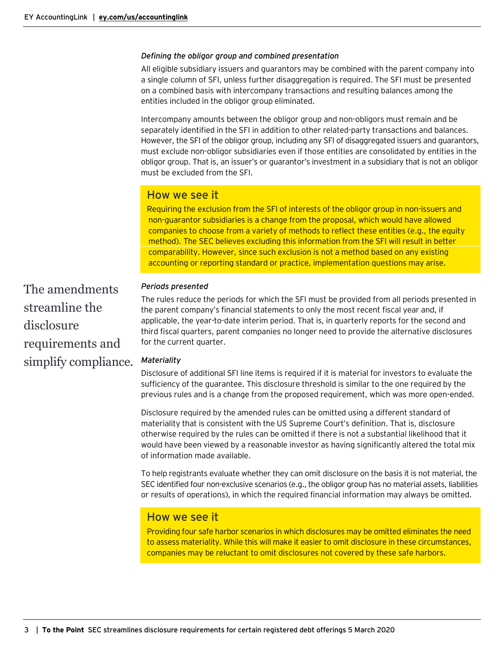#### *Defining the obligor group and combined presentation*

All eligible subsidiary issuers and guarantors may be combined with the parent company into a single column of SFI, unless further disaggregation is required. The SFI must be presented on a combined basis with intercompany transactions and resulting balances among the entities included in the obligor group eliminated.

Intercompany amounts between the obligor group and non-obligors must remain and be separately identified in the SFI in addition to other related-party transactions and balances. However, the SFI of the obligor group, including any SFI of disaggregated issuers and guarantors, must exclude non-obligor subsidiaries even if those entities are consolidated by entities in the obligor group. That is, an issuer's or guarantor's investment in a subsidiary that is not an obligor must be excluded from the SFI.

## How we see it

Requiring the exclusion from the SFI of interests of the obligor group in non-issuers and non-guarantor subsidiaries is a change from the proposal, which would have allowed companies to choose from a variety of methods to reflect these entities (e.g., the equity method). The SEC believes excluding this information from the SFI will result in better comparability. However, since such exclusion is not a method based on any existing accounting or reporting standard or practice, implementation questions may arise.

*Periods presented*

The rules reduce the periods for which the SFI must be provided from all periods presented in the parent company's financial statements to only the most recent fiscal year and, if applicable, the year-to-date interim period. That is, in quarterly reports for the second and third fiscal quarters, parent companies no longer need to provide the alternative disclosures for the current quarter.

#### *Materiality*

Disclosure of additional SFI line items is required if it is material for investors to evaluate the sufficiency of the guarantee. This disclosure threshold is similar to the one required by the previous rules and is a change from the proposed requirement, which was more open-ended.

Disclosure required by the amended rules can be omitted using a different standard of materiality that is consistent with the US Supreme Court's definition. That is, disclosure otherwise required by the rules can be omitted if there is not a substantial likelihood that it would have been viewed by a reasonable investor as having significantly altered the total mix of information made available.

To help registrants evaluate whether they can omit disclosure on the basis it is not material, the SEC identified four non-exclusive scenarios (e.g., the obligor group has no material assets, liabilities or results of operations), in which the required financial information may always be omitted.

## How we see it

Providing four safe harbor scenarios in which disclosures may be omitted eliminates the need to assess materiality. While this will make it easier to omit disclosure in these circumstances, companies may be reluctant to omit disclosures not covered by these safe harbors.

The amendments streamline the disclosure requirements and simplify compliance.